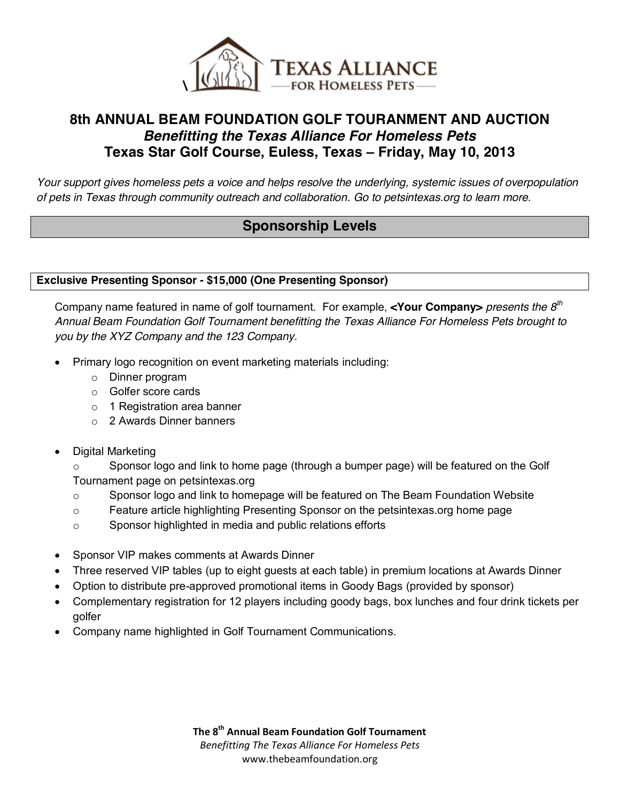

## **8th ANNUAL BEAM FOUNDATION GOLF TOURANMENT AND AUCTION** *Benefitting the Texas Alliance For Homeless Pets* **Texas Star Golf Course, Euless, Texas – Friday, May 10, 2013**

*Your support gives homeless pets a voice and helps resolve the underlying, systemic issues of overpopulation of pets in Texas through community outreach and collaboration. Go to petsintexas.org to learn more.* 

## **Sponsorship Levels**

#### **Exclusive Presenting Sponsor - \$15,000 (One Presenting Sponsor)**

Company name featured in name of golf tournament. For example, **<Your Company>** *presents the 8th Annual Beam Foundation Golf Tournament benefitting the Texas Alliance For Homeless Pets brought to you by the XYZ Company and the 123 Company.* 

- Primary logo recognition on event marketing materials including:
	- o Dinner program
	- o Golfer score cards
	- o 1 Registration area banner
	- o 2 Awards Dinner banners
- Digital Marketing

o Sponsor logo and link to home page (through a bumper page) will be featured on the Golf Tournament page on petsintexas.org

- $\circ$  Sponsor logo and link to homepage will be featured on The Beam Foundation Website
- o Feature article highlighting Presenting Sponsor on the petsintexas.org home page
- o Sponsor highlighted in media and public relations efforts
- Sponsor VIP makes comments at Awards Dinner
- Three reserved VIP tables (up to eight guests at each table) in premium locations at Awards Dinner
- Option to distribute pre-approved promotional items in Goody Bags (provided by sponsor)
- Complementary registration for 12 players including goody bags, box lunches and four drink tickets per golfer
- Company name highlighted in Golf Tournament Communications.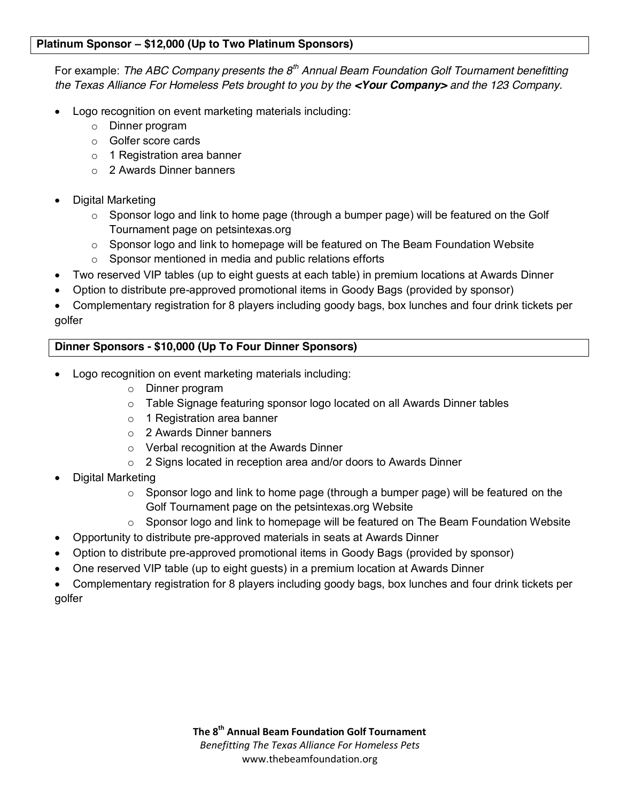#### **Platinum Sponsor – \$12,000 (Up to Two Platinum Sponsors)**

For example: *The ABC Company presents the 8th Annual Beam Foundation Golf Tournament benefitting the Texas Alliance For Homeless Pets brought to you by the <Your Company> and the 123 Company.* 

- Logo recognition on event marketing materials including:
	- o Dinner program
	- o Golfer score cards
	- o 1 Registration area banner
	- o 2 Awards Dinner banners
- Digital Marketing
	- $\circ$  Sponsor logo and link to home page (through a bumper page) will be featured on the Golf Tournament page on petsintexas.org
	- o Sponsor logo and link to homepage will be featured on The Beam Foundation Website
	- o Sponsor mentioned in media and public relations efforts
- Two reserved VIP tables (up to eight guests at each table) in premium locations at Awards Dinner
- Option to distribute pre-approved promotional items in Goody Bags (provided by sponsor)
- Complementary registration for 8 players including goody bags, box lunches and four drink tickets per golfer

### **Dinner Sponsors - \$10,000 (Up To Four Dinner Sponsors)**

- Logo recognition on event marketing materials including:
	- o Dinner program
	- $\circ$  Table Signage featuring sponsor logo located on all Awards Dinner tables
	- o 1 Registration area banner
	- o 2 Awards Dinner banners
	- o Verbal recognition at the Awards Dinner
	- o 2 Signs located in reception area and/or doors to Awards Dinner
- Digital Marketing
	- $\circ$  Sponsor logo and link to home page (through a bumper page) will be featured on the Golf Tournament page on the petsintexas.org Website
	- $\circ$  Sponsor logo and link to homepage will be featured on The Beam Foundation Website
- Opportunity to distribute pre-approved materials in seats at Awards Dinner
- Option to distribute pre-approved promotional items in Goody Bags (provided by sponsor)
- One reserved VIP table (up to eight guests) in a premium location at Awards Dinner

 Complementary registration for 8 players including goody bags, box lunches and four drink tickets per golfer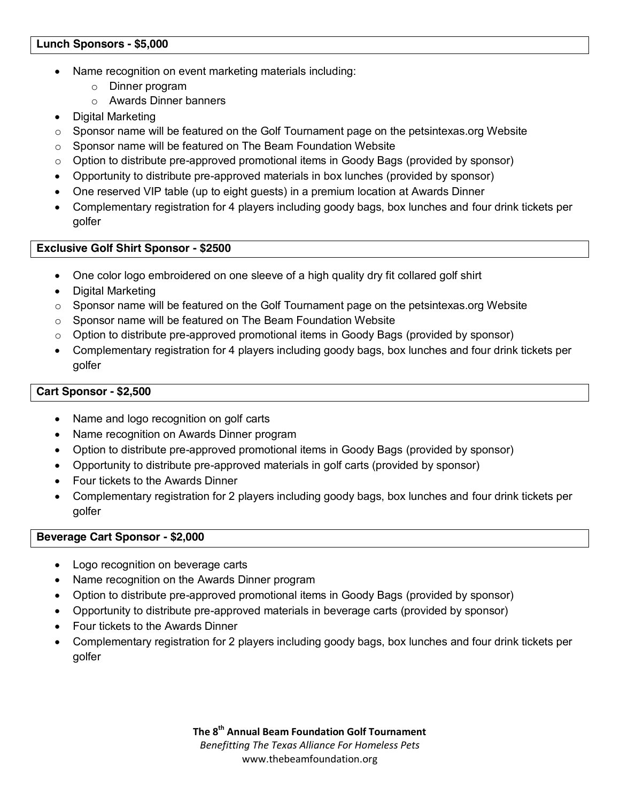#### **Lunch Sponsors - \$5,000**

- Name recognition on event marketing materials including:
	- o Dinner program
	- o Awards Dinner banners
- Digital Marketing
- $\circ$  Sponsor name will be featured on the Golf Tournament page on the petsintexas.org Website
- o Sponsor name will be featured on The Beam Foundation Website
- $\circ$  Option to distribute pre-approved promotional items in Goody Bags (provided by sponsor)
- Opportunity to distribute pre-approved materials in box lunches (provided by sponsor)
- One reserved VIP table (up to eight guests) in a premium location at Awards Dinner
- Complementary registration for 4 players including goody bags, box lunches and four drink tickets per golfer

#### **Exclusive Golf Shirt Sponsor - \$2500**

- One color logo embroidered on one sleeve of a high quality dry fit collared golf shirt
- Digital Marketing
- $\circ$  Sponsor name will be featured on the Golf Tournament page on the petsintexas.org Website
- o Sponsor name will be featured on The Beam Foundation Website
- $\circ$  Option to distribute pre-approved promotional items in Goody Bags (provided by sponsor)
- Complementary registration for 4 players including goody bags, box lunches and four drink tickets per golfer

#### **Cart Sponsor - \$2,500**

- Name and logo recognition on golf carts
- Name recognition on Awards Dinner program
- Option to distribute pre-approved promotional items in Goody Bags (provided by sponsor)
- Opportunity to distribute pre-approved materials in golf carts (provided by sponsor)
- Four tickets to the Awards Dinner
- Complementary registration for 2 players including goody bags, box lunches and four drink tickets per golfer

#### **Beverage Cart Sponsor - \$2,000**

- Logo recognition on beverage carts
- Name recognition on the Awards Dinner program
- Option to distribute pre-approved promotional items in Goody Bags (provided by sponsor)
- Opportunity to distribute pre-approved materials in beverage carts (provided by sponsor)
- Four tickets to the Awards Dinner
- Complementary registration for 2 players including goody bags, box lunches and four drink tickets per golfer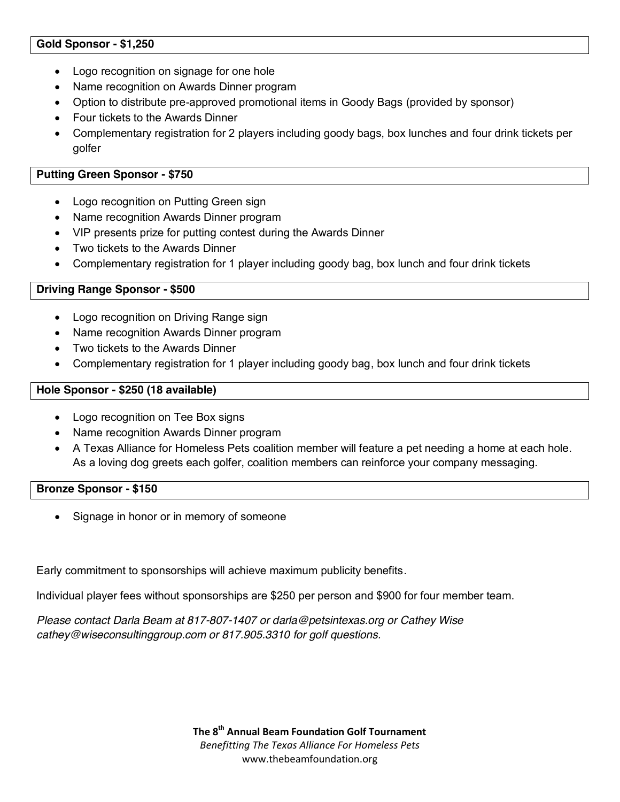#### **Gold Sponsor - \$1,250**

- Logo recognition on signage for one hole
- Name recognition on Awards Dinner program
- Option to distribute pre-approved promotional items in Goody Bags (provided by sponsor)
- Four tickets to the Awards Dinner
- Complementary registration for 2 players including goody bags, box lunches and four drink tickets per golfer

#### **Putting Green Sponsor - \$750**

- Logo recognition on Putting Green sign
- Name recognition Awards Dinner program
- VIP presents prize for putting contest during the Awards Dinner
- Two tickets to the Awards Dinner
- Complementary registration for 1 player including goody bag, box lunch and four drink tickets

#### **Driving Range Sponsor - \$500**

- Logo recognition on Driving Range sign
- Name recognition Awards Dinner program
- Two tickets to the Awards Dinner
- Complementary registration for 1 player including goody bag, box lunch and four drink tickets

#### **Hole Sponsor - \$250 (18 available)**

- Logo recognition on Tee Box signs
- Name recognition Awards Dinner program
- A Texas Alliance for Homeless Pets coalition member will feature a pet needing a home at each hole. As a loving dog greets each golfer, coalition members can reinforce your company messaging.

#### **Bronze Sponsor - \$150**

Signage in honor or in memory of someone

Early commitment to sponsorships will achieve maximum publicity benefits.

Individual player fees without sponsorships are \$250 per person and \$900 for four member team.

*Please contact Darla Beam at 817-807-1407 or darla@petsintexas.org or Cathey Wise cathey@wiseconsultinggroup.com or 817.905.3310 for golf questions.*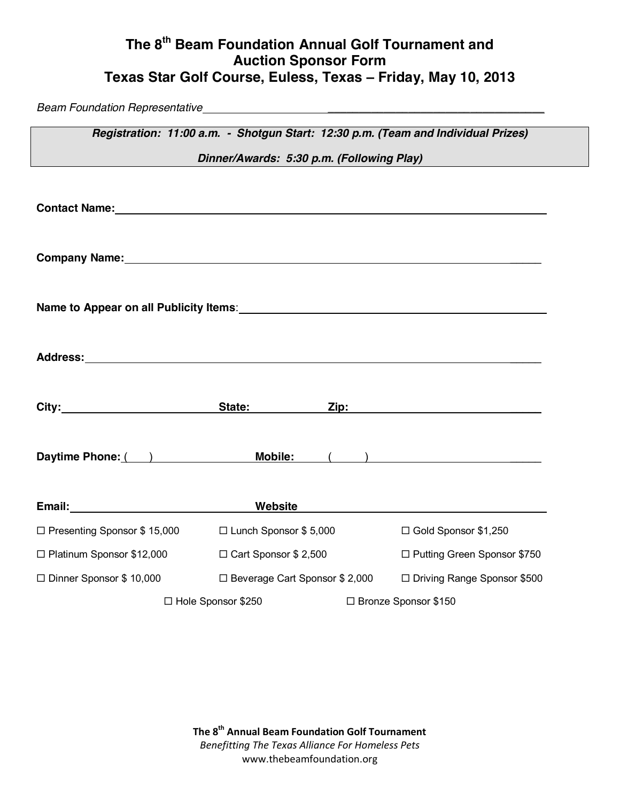# **The 8th Beam Foundation Annual Golf Tournament and Auction Sponsor Form Texas Star Golf Course, Euless, Texas – Friday, May 10, 2013**

*Beam Foundation Representative \_\_\_\_\_\_\_\_\_\_\_\_\_\_\_\_\_\_\_\_\_\_\_\_\_\_\_\_\_\_\_\_\_\_\_*

| Registration: 11:00 a.m. - Shotgun Start: 12:30 p.m. (Team and Individual Prizes)                                                                                                                                             |                                  |  |                               |  |  |  |  |  |  |
|-------------------------------------------------------------------------------------------------------------------------------------------------------------------------------------------------------------------------------|----------------------------------|--|-------------------------------|--|--|--|--|--|--|
| Dinner/Awards: 5:30 p.m. (Following Play)                                                                                                                                                                                     |                                  |  |                               |  |  |  |  |  |  |
|                                                                                                                                                                                                                               |                                  |  |                               |  |  |  |  |  |  |
| Company Name: 1988 Company Name: 1988                                                                                                                                                                                         |                                  |  |                               |  |  |  |  |  |  |
|                                                                                                                                                                                                                               |                                  |  |                               |  |  |  |  |  |  |
|                                                                                                                                                                                                                               |                                  |  |                               |  |  |  |  |  |  |
| City: City: City: City: City: City: City: City: City: City: City: City: City: City: City: City: City: City: City: City: City: City: City: City: City: City: City: City: City: City: City: City: City: City: City: City: City: |                                  |  |                               |  |  |  |  |  |  |
| Daytime Phone: ( ) Mobile: ( )                                                                                                                                                                                                |                                  |  |                               |  |  |  |  |  |  |
|                                                                                                                                                                                                                               |                                  |  |                               |  |  |  |  |  |  |
| □ Presenting Sponsor \$ 15,000 □ Lunch Sponsor \$ 5,000                                                                                                                                                                       |                                  |  | □ Gold Sponsor \$1,250        |  |  |  |  |  |  |
| □ Platinum Sponsor \$12,000                                                                                                                                                                                                   | □ Cart Sponsor \$ 2,500          |  | □ Putting Green Sponsor \$750 |  |  |  |  |  |  |
| $\Box$ Dinner Sponsor \$ 10,000                                                                                                                                                                                               | □ Beverage Cart Sponsor \$ 2,000 |  | □ Driving Range Sponsor \$500 |  |  |  |  |  |  |
|                                                                                                                                                                                                                               | $\Box$ Hole Sponsor \$250        |  | □ Bronze Sponsor \$150        |  |  |  |  |  |  |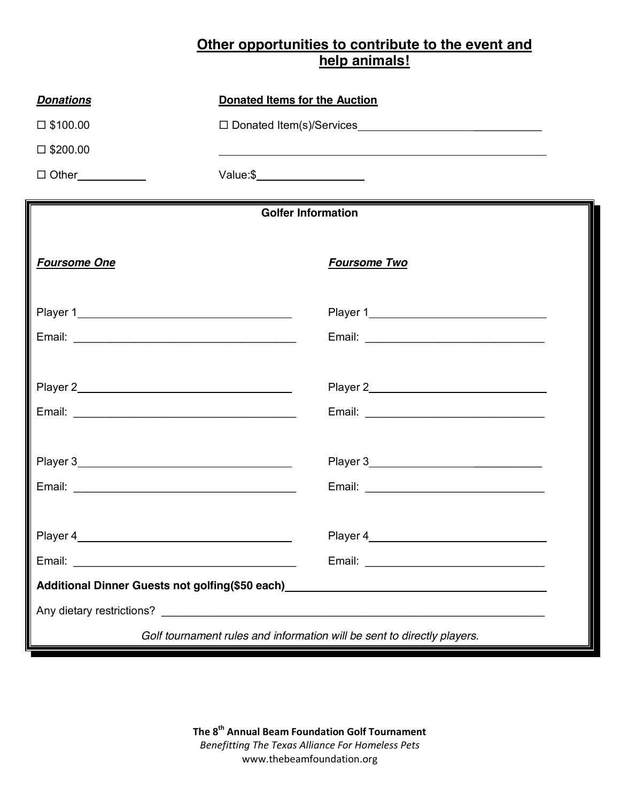## **Other opportunities to contribute to the event and help animals!**

| <b>Donations</b>                                                        | <b>Donated Items for the Auction</b>                                                                                        |  |  |  |  |  |
|-------------------------------------------------------------------------|-----------------------------------------------------------------------------------------------------------------------------|--|--|--|--|--|
| $\square$ \$100.00                                                      | □ Donated Item(s)/Services                                                                                                  |  |  |  |  |  |
| $\square$ \$200.00                                                      |                                                                                                                             |  |  |  |  |  |
|                                                                         |                                                                                                                             |  |  |  |  |  |
|                                                                         | <b>Golfer Information</b>                                                                                                   |  |  |  |  |  |
|                                                                         |                                                                                                                             |  |  |  |  |  |
| <b>Foursome One</b>                                                     | <b>Foursome Two</b>                                                                                                         |  |  |  |  |  |
|                                                                         |                                                                                                                             |  |  |  |  |  |
|                                                                         | Email: <u>Alexander Alexander Alexander Alexander Alexander Alexander Alexander Alexander Alexander Alexander Alexander</u> |  |  |  |  |  |
|                                                                         |                                                                                                                             |  |  |  |  |  |
|                                                                         |                                                                                                                             |  |  |  |  |  |
|                                                                         |                                                                                                                             |  |  |  |  |  |
|                                                                         |                                                                                                                             |  |  |  |  |  |
| Player 4                                                                | Player 4                                                                                                                    |  |  |  |  |  |
|                                                                         |                                                                                                                             |  |  |  |  |  |
|                                                                         | Additional Dinner Guests not golfing(\$50 each)<br>Additional Dinner Guests not golfing(\$50 each)<br>2010                  |  |  |  |  |  |
|                                                                         |                                                                                                                             |  |  |  |  |  |
| Golf tournament rules and information will be sent to directly players. |                                                                                                                             |  |  |  |  |  |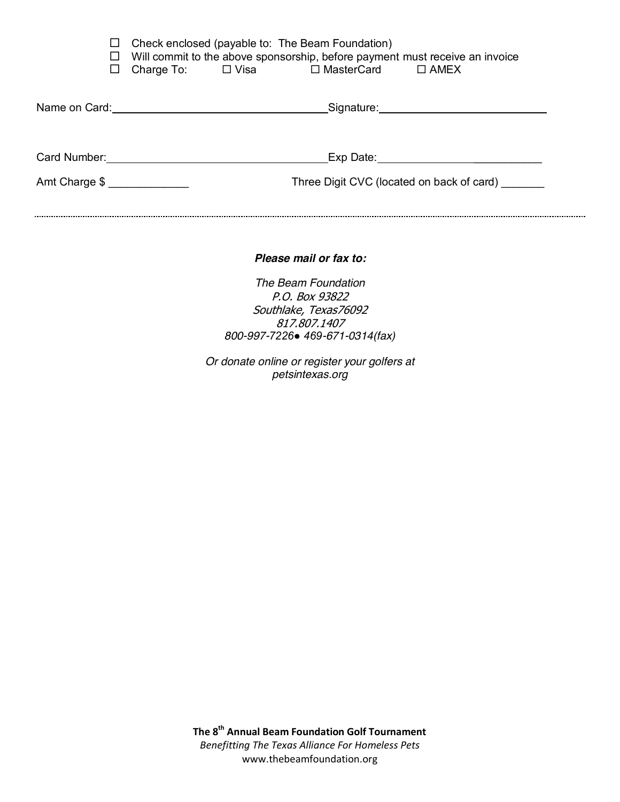|                                              | ப<br>ப<br>⊔ | Charge To: $\Box$ Visa | Check enclosed (payable to: The Beam Foundation)<br>$\Box$ MasterCard $\Box$ AMEX | Will commit to the above sponsorship, before payment must receive an invoice |  |
|----------------------------------------------|-------------|------------------------|-----------------------------------------------------------------------------------|------------------------------------------------------------------------------|--|
|                                              |             |                        |                                                                                   | Signature: Signature:                                                        |  |
| Card Number:<br>Amt Charge \$ ______________ |             |                        | Exp Date:                                                                         | Three Digit CVC (located on back of card)                                    |  |
|                                              |             |                        |                                                                                   |                                                                              |  |

*Please mail or fax to:*

*The Beam Foundation* P.O. Box 93822 Southlake, Texas76092 817.807.1407 *800-997-7226● 469-671-0314(fax)*

*Or donate online or register your golfers at petsintexas.org*